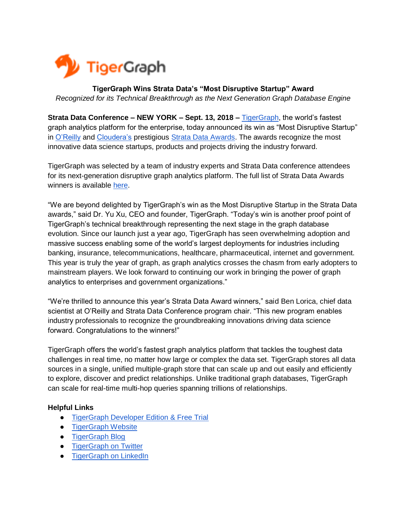

## **TigerGraph Wins Strata Data's "Most Disruptive Startup" Award** *Recognized for its Technical Breakthrough as the Next Generation Graph Database Engine*

**Strata Data Conference – NEW YORK – Sept. 13, 2018 [–](http://www.tigergraph.com/)** [TigerGraph,](https://www.tigergraph.com/) the world's fastest graph analytics platform for the enterprise, today announced its win as "Most Disruptive Startup" in [O'Reilly](https://www.oreilly.com/) and [Cloudera's](https://www.cloudera.com/) prestigious [Strata Data Awards.](https://conferences.oreilly.com/strata/strata-ny/public/schedule/detail/72185) The awards recognize the most innovative data science startups, products and projects driving the industry forward.

TigerGraph was selected by a team of industry experts and Strata Data conference attendees for its next-generation disruptive graph analytics platform. The full list of Strata Data Awards winners is available [here.](https://www.businesswire.com/news/home/20180913005676/en/TigerGraph-Dow-Jones-DNA-Vertica-Analytics-Named)

"We are beyond delighted by TigerGraph's win as the Most Disruptive Startup in the Strata Data awards," said Dr. Yu Xu, CEO and founder, TigerGraph. "Today's win is another proof point of TigerGraph's technical breakthrough representing the next stage in the graph database evolution. Since our launch just a year ago, TigerGraph has seen overwhelming adoption and massive success enabling some of the world's largest deployments for industries including banking, insurance, telecommunications, healthcare, pharmaceutical, internet and government. This year is truly the year of graph, as graph analytics crosses the chasm from early adopters to mainstream players. We look forward to continuing our work in bringing the power of graph analytics to enterprises and government organizations."

"We're thrilled to announce this year's Strata Data Award winners," said Ben Lorica, chief data scientist at O'Reilly and Strata Data Conference program chair. "This new program enables industry professionals to recognize the groundbreaking innovations driving data science forward. Congratulations to the winners!"

TigerGraph offers the world's fastest graph analytics platform that tackles the toughest data challenges in real time, no matter how large or complex the data set. TigerGraph stores all data sources in a single, unified multiple-graph store that can scale up and out easily and efficiently to explore, discover and predict relationships. Unlike traditional graph databases, TigerGraph can scale for real-time multi-hop queries spanning trillions of relationships.

## **Helpful Links**

- [TigerGraph Developer Edition & Free Trial](https://www.tigergraph.com/download/)
- [TigerGraph Website](http://www.tigergraph.com/)
- [TigerGraph Blog](http://www.tigergraph.com/blog)
- **•** [TigerGraph on Twitter](https://twitter.com/tigergraphdb)
- [TigerGraph on LinkedIn](https://www.linkedin.com/company/3693966/)